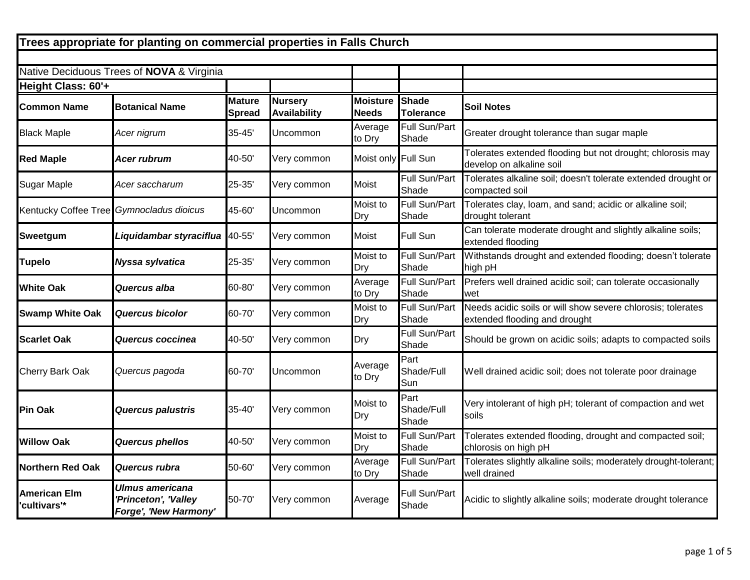| Trees appropriate for planting on commercial properties in Falls Church |                                                                  |                                |                                       |                                 |                                  |                                                                                              |  |  |
|-------------------------------------------------------------------------|------------------------------------------------------------------|--------------------------------|---------------------------------------|---------------------------------|----------------------------------|----------------------------------------------------------------------------------------------|--|--|
|                                                                         |                                                                  |                                |                                       |                                 |                                  |                                                                                              |  |  |
|                                                                         | Native Deciduous Trees of NOVA & Virginia                        |                                |                                       |                                 |                                  |                                                                                              |  |  |
| Height Class: 60'+                                                      |                                                                  |                                |                                       |                                 |                                  |                                                                                              |  |  |
| <b>Common Name</b>                                                      | <b>Botanical Name</b>                                            | <b>Mature</b><br><b>Spread</b> | <b>Nursery</b><br><b>Availability</b> | <b>Moisture</b><br><b>Needs</b> | <b>Shade</b><br><b>Tolerance</b> | <b>Soil Notes</b>                                                                            |  |  |
| <b>Black Maple</b>                                                      | Acer nigrum                                                      | 35-45'                         | Uncommon                              | Average<br>to Dry               | Full Sun/Part<br>Shade           | Greater drought tolerance than sugar maple                                                   |  |  |
| <b>Red Maple</b>                                                        | Acer rubrum                                                      | 40-50'                         | Very common                           | Moist only Full Sun             |                                  | Tolerates extended flooding but not drought; chlorosis may<br>develop on alkaline soil       |  |  |
| <b>Sugar Maple</b>                                                      | Acer saccharum                                                   | 25-35'                         | Very common                           | Moist                           | Full Sun/Part<br>Shade           | Tolerates alkaline soil; doesn't tolerate extended drought or<br>compacted soil              |  |  |
| Kentucky Coffee Tree Gymnocladus dioicus                                |                                                                  | 45-60'                         | Uncommon                              | Moist to<br>Dry                 | Full Sun/Part<br>Shade           | Tolerates clay, loam, and sand; acidic or alkaline soil;<br>drought tolerant                 |  |  |
| Sweetgum                                                                | Liquidambar styraciflua                                          | 40-55'                         | Very common                           | Moist                           | Full Sun                         | Can tolerate moderate drought and slightly alkaline soils;<br>extended flooding              |  |  |
| <b>Tupelo</b>                                                           | Nyssa sylvatica                                                  | 25-35'                         | Very common                           | Moist to<br>Dry                 | Full Sun/Part<br>Shade           | Withstands drought and extended flooding; doesn't tolerate<br>high pH                        |  |  |
| <b>White Oak</b>                                                        | Quercus alba                                                     | 60-80'                         | Very common                           | Average<br>to Dry               | Full Sun/Part<br>Shade           | Prefers well drained acidic soil; can tolerate occasionally<br>wet                           |  |  |
| <b>Swamp White Oak</b>                                                  | <b>Quercus bicolor</b>                                           | 60-70'                         | Very common                           | Moist to<br>Dry                 | Full Sun/Part<br>Shade           | Needs acidic soils or will show severe chlorosis; tolerates<br>extended flooding and drought |  |  |
| lScarlet Oak                                                            | Quercus coccinea                                                 | 40-50'                         | Very common                           | Dry                             | Full Sun/Part<br>Shade           | Should be grown on acidic soils; adapts to compacted soils                                   |  |  |
| <b>Cherry Bark Oak</b>                                                  | Quercus pagoda                                                   | 60-70'                         | Uncommon                              | Average<br>to Dry               | Part<br>Shade/Full<br>Sun        | Well drained acidic soil; does not tolerate poor drainage                                    |  |  |
| <b>Pin Oak</b>                                                          | Quercus palustris                                                | 35-40'                         | Very common                           | Moist to<br>Dry                 | Part<br>Shade/Full<br>Shade      | Very intolerant of high pH; tolerant of compaction and wet<br>soils                          |  |  |
| <b>Willow Oak</b>                                                       | <b>Quercus phellos</b>                                           | 40-50'                         | Very common                           | Moist to<br>Dry                 | Full Sun/Part<br>Shade           | Tolerates extended flooding, drought and compacted soil;<br>chlorosis on high pH             |  |  |
| <b>Northern Red Oak</b>                                                 | Quercus rubra                                                    | 50-60'                         | Very common                           | Average<br>to Dry               | Full Sun/Part<br>Shade           | Tolerates slightly alkaline soils; moderately drought-tolerant;<br>well drained              |  |  |
| <b>American Elm</b><br>'cultivars'*                                     | Ulmus americana<br>'Princeton', 'Valley<br>Forge', 'New Harmony' | 50-70'                         | Very common                           | Average                         | Full Sun/Part<br>Shade           | Acidic to slightly alkaline soils; moderate drought tolerance                                |  |  |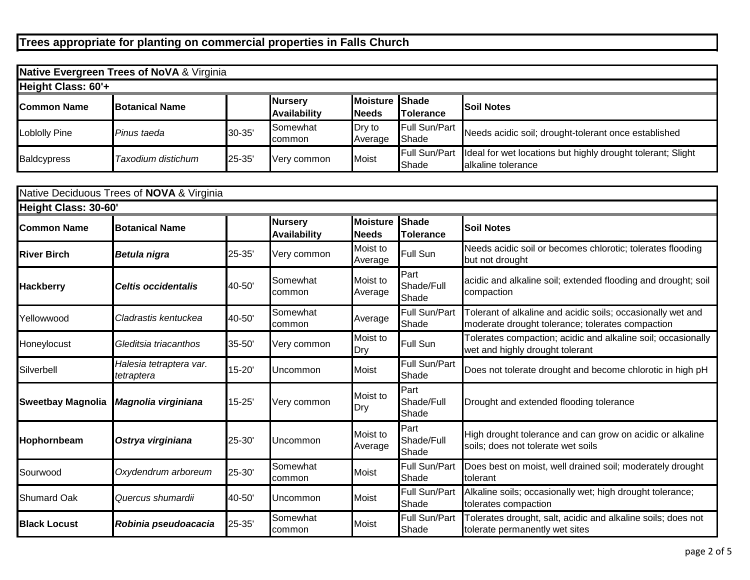| <b>Native Evergreen Trees of NoVA &amp; Virginia</b> |                        |        |                                |                                |                        |                                                                                   |  |  |  |
|------------------------------------------------------|------------------------|--------|--------------------------------|--------------------------------|------------------------|-----------------------------------------------------------------------------------|--|--|--|
| Height Class: 60'+                                   |                        |        |                                |                                |                        |                                                                                   |  |  |  |
| <b>Common Name</b>                                   | <b>IBotanical Name</b> |        | <b>Nursery</b><br>Availability | Moisture Shade<br><b>Needs</b> | <b>ITolerance</b>      | <b>ISoil Notes</b>                                                                |  |  |  |
| Loblolly Pine                                        | Pinus taeda            | 30-35' | Somewhat<br><b>c</b> ommon     | Dry to<br>Average              | Full Sun/Part<br>Shade | Needs acidic soil; drought-tolerant once established                              |  |  |  |
| <b>Baldcypress</b>                                   | Taxodium distichum     | 25-35' | Very common                    | <b>Moist</b>                   | Full Sun/Part<br>Shade | Ideal for wet locations but highly drought tolerant; Slight<br>alkaline tolerance |  |  |  |

| Native Deciduous Trees of <b>NOVA &amp;</b> Virginia |                                       |            |                                       |                                 |                                  |                                                                                                                 |  |  |  |
|------------------------------------------------------|---------------------------------------|------------|---------------------------------------|---------------------------------|----------------------------------|-----------------------------------------------------------------------------------------------------------------|--|--|--|
| Height Class: 30-60'                                 |                                       |            |                                       |                                 |                                  |                                                                                                                 |  |  |  |
| <b>Common Name</b>                                   | <b>Botanical Name</b>                 |            | <b>Nursery</b><br><b>Availability</b> | <b>Moisture</b><br><b>Needs</b> | <b>Shade</b><br><b>Tolerance</b> | <b>Soil Notes</b>                                                                                               |  |  |  |
| <b>River Birch</b>                                   | <b>Betula nigra</b>                   | 25-35'     | Very common                           | Moist to<br>Average             | Full Sun                         | Needs acidic soil or becomes chlorotic; tolerates flooding<br>but not drought                                   |  |  |  |
| <b>Hackberry</b>                                     | Celtis occidentalis                   | 40-50'     | Somewhat<br>common                    | Moist to<br>Average             | Part<br>Shade/Full<br>Shade      | acidic and alkaline soil; extended flooding and drought; soil<br>compaction                                     |  |  |  |
| Yellowwood                                           | Cladrastis kentuckea                  | 40-50'     | Somewhat<br>common                    | Average                         | Full Sun/Part<br>Shade           | Tolerant of alkaline and acidic soils; occasionally wet and<br>moderate drought tolerance; tolerates compaction |  |  |  |
| Honeylocust                                          | Gleditsia triacanthos                 | 35-50      | Very common                           | Moist to<br>Dry                 | Full Sun                         | Tolerates compaction; acidic and alkaline soil; occasionally<br>wet and highly drought tolerant                 |  |  |  |
| Silverbell                                           | Halesia tetraptera var.<br>tetraptera | 15-20'     | Uncommon                              | Moist                           | Full Sun/Part<br>Shade           | Does not tolerate drought and become chlorotic in high pH                                                       |  |  |  |
| <b>Sweetbay Magnolia</b>                             | Magnolia virginiana                   | $15 - 25'$ | Very common                           | Moist to<br>Dry                 | Part<br>Shade/Full<br>Shade      | Drought and extended flooding tolerance                                                                         |  |  |  |
| Hophornbeam                                          | Ostrya virginiana                     | 25-30'     | Uncommon                              | Moist to<br>Average             | Part<br>Shade/Full<br>Shade      | High drought tolerance and can grow on acidic or alkaline<br>soils; does not tolerate wet soils                 |  |  |  |
| Sourwood                                             | Oxydendrum arboreum                   | 25-30'     | Somewhat<br>common                    | Moist                           | Full Sun/Part<br><b>Shade</b>    | Does best on moist, well drained soil; moderately drought<br>tolerant                                           |  |  |  |
| <b>Shumard Oak</b>                                   | Quercus shumardii                     | 40-50'     | Uncommon                              | Moist                           | Full Sun/Part<br>Shade           | Alkaline soils; occasionally wet; high drought tolerance;<br>tolerates compaction                               |  |  |  |
| <b>Black Locust</b>                                  | Robinia pseudoacacia                  | 25-35'     | Somewhat<br>common                    | Moist                           | Full Sun/Part<br><b>Shade</b>    | Tolerates drought, salt, acidic and alkaline soils; does not<br>tolerate permanently wet sites                  |  |  |  |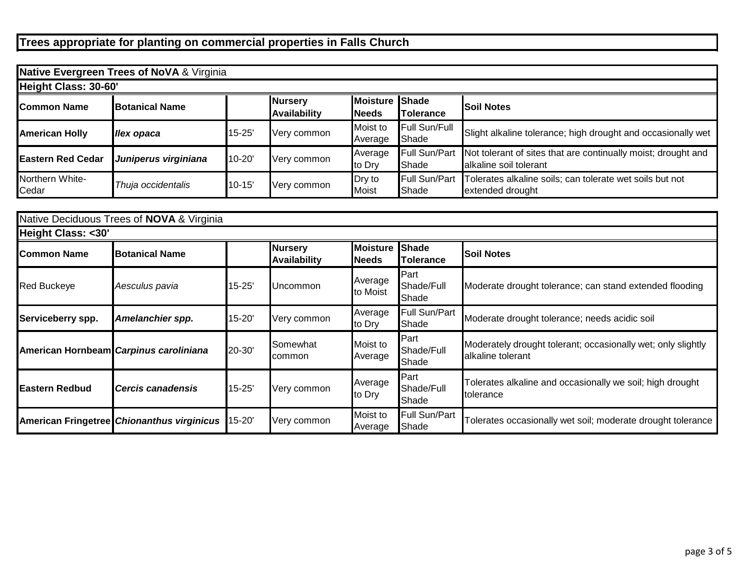| Native Evergreen Trees of NoVA & Virginia |                       |            |                                       |                                 |                                  |                                                                                         |  |  |  |
|-------------------------------------------|-----------------------|------------|---------------------------------------|---------------------------------|----------------------------------|-----------------------------------------------------------------------------------------|--|--|--|
| Height Class: 30-60'                      |                       |            |                                       |                                 |                                  |                                                                                         |  |  |  |
| <b>Common Name</b>                        | <b>Botanical Name</b> |            | <b>Nursery</b><br><b>Availability</b> | <b>Moisture</b><br><b>Needs</b> | <b>Shade</b><br><b>Tolerance</b> | <b>Soil Notes</b>                                                                       |  |  |  |
| <b>American Holly</b>                     | <b>Ilex opaca</b>     | $15 - 25'$ | Very common                           | Moist to<br>Average             | Full Sun/Full<br>Shade           | Slight alkaline tolerance; high drought and occasionally wet                            |  |  |  |
| <b>Eastern Red Cedar</b>                  | Juniperus virginiana  | 10-20      | Very common                           | Average<br>to Dry               | Full Sun/Part<br>Shade           | Not tolerant of sites that are continually moist; drought and<br>alkaline soil tolerant |  |  |  |
| Northern White-<br>Cedar                  | Thuja occidentalis    | $10 - 15'$ | Very common                           | Dry to<br><b>Moist</b>          | Full Sun/Part<br>Shade           | Tolerates alkaline soils; can tolerate wet soils but not<br>extended drought            |  |  |  |

| Native Deciduous Trees of <b>NOVA &amp;</b> Virginia |                                            |            |                                       |                                 |                                  |                                                                                   |  |  |  |
|------------------------------------------------------|--------------------------------------------|------------|---------------------------------------|---------------------------------|----------------------------------|-----------------------------------------------------------------------------------|--|--|--|
| Height Class: <30'                                   |                                            |            |                                       |                                 |                                  |                                                                                   |  |  |  |
| lCommon Name                                         | <b>IBotanical Name</b>                     |            | <b>Nursery</b><br><b>Availability</b> | <b>Moisture</b><br><b>Needs</b> | <b>Shade</b><br><b>Tolerance</b> | <b>Soil Notes</b>                                                                 |  |  |  |
| <b>Red Buckeye</b>                                   | Aesculus pavia                             | $15 - 25'$ | Uncommon                              | Average<br>to Moist             | Part<br>Shade/Full<br>Shade      | Moderate drought tolerance; can stand extended flooding                           |  |  |  |
| Serviceberry spp.                                    | Amelanchier spp.                           | 15-20'     | Very common                           | Average<br>to Dry               | Full Sun/Part<br>Shade           | Moderate drought tolerance; needs acidic soil                                     |  |  |  |
|                                                      | American Hornbeam Carpinus caroliniana     | 20-30'     | Somewhat<br>common                    | Moist to<br>Average             | Part<br>Shade/Full<br>Shade      | Moderately drought tolerant; occasionally wet; only slightly<br>alkaline tolerant |  |  |  |
| <b>Eastern Redbud</b>                                | <b>I</b> Cercis canadensis                 | $15 - 25'$ | Very common                           | Average<br>to Dry               | Part<br>Shade/Full<br>Shade      | Tolerates alkaline and occasionally we soil; high drought<br>tolerance            |  |  |  |
|                                                      | American Fringetree Chionanthus virginicus | 15-20'     | Very common                           | Moist to<br>Average             | Full Sun/Part<br>Shade           | Tolerates occasionally wet soil; moderate drought tolerance                       |  |  |  |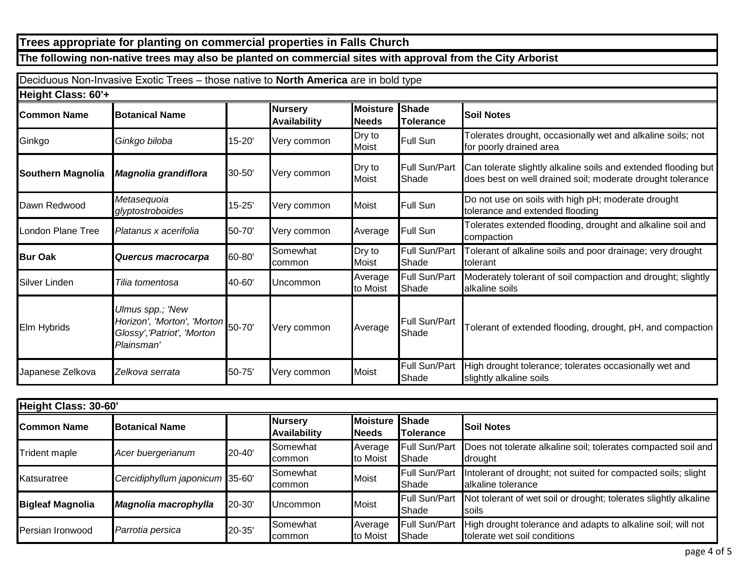## **The following non-native trees may also be planted on commercial sites with approval from the City Arborist**

|                          | Deciduous Non-Invasive Exotic Trees - those native to North America are in bold type                |            |                                       |                                |                               |                                                                                                                              |
|--------------------------|-----------------------------------------------------------------------------------------------------|------------|---------------------------------------|--------------------------------|-------------------------------|------------------------------------------------------------------------------------------------------------------------------|
| Height Class: 60'+       |                                                                                                     |            |                                       |                                |                               |                                                                                                                              |
| <b>Common Name</b>       | <b>Botanical Name</b>                                                                               |            | <b>Nursery</b><br><b>Availability</b> | Moisture Shade<br><b>Needs</b> | Tolerance                     | <b>Soil Notes</b>                                                                                                            |
| Ginkgo                   | Ginkgo biloba                                                                                       | 15-20'     | Very common                           | Dry to<br>Moist                | <b>Full Sun</b>               | Tolerates drought, occasionally wet and alkaline soils; not<br>for poorly drained area                                       |
| <b>Southern Magnolia</b> | Magnolia grandiflora                                                                                | 30-50'     | Very common                           | Dry to<br>Moist                | Full Sun/Part<br>lShade       | Can tolerate slightly alkaline soils and extended flooding but<br>does best on well drained soil; moderate drought tolerance |
| Dawn Redwood             | Metasequoia<br>glyptostroboides                                                                     | $15 - 25'$ | Very common                           | <b>Moist</b>                   | Full Sun                      | Do not use on soils with high pH; moderate drought<br>tolerance and extended flooding                                        |
| London Plane Tree        | Platanus x acerifolia                                                                               | 50-70'     | Very common                           | Average                        | <b>Full Sun</b>               | Tolerates extended flooding, drought and alkaline soil and<br>compaction                                                     |
| <b>Bur Oak</b>           | Quercus macrocarpa                                                                                  | 60-80'     | Somewhat<br>common                    | Dry to<br>Moist                | Full Sun/Part<br>lShade       | Tolerant of alkaline soils and poor drainage; very drought<br>tolerant                                                       |
| Silver Linden            | Tilia tomentosa                                                                                     | 40-60'     | Uncommon                              | Average<br>to Moist            | <b>Full Sun/Part</b><br>Shade | Moderately tolerant of soil compaction and drought; slightly<br>alkaline soils                                               |
| Elm Hybrids              | Ulmus spp.; 'New<br>Horizon', 'Morton', 'Morton' 50-70'<br>Glossy','Patriot', 'Morton<br>Plainsman' |            | Very common                           | Average                        | <b>Full Sun/Part</b><br>Shade | Tolerant of extended flooding, drought, pH, and compaction                                                                   |
| Japanese Zelkova         | Zelkova serrata                                                                                     | 50-75'     | Very common                           | <b>Moist</b>                   | Full Sun/Part<br>lShade       | High drought tolerance; tolerates occasionally wet and<br>slightly alkaline soils                                            |

| Height Class: 30-60'    |                                 |        |                                       |                          |                                   |                                                                                              |  |  |
|-------------------------|---------------------------------|--------|---------------------------------------|--------------------------|-----------------------------------|----------------------------------------------------------------------------------------------|--|--|
| <b>Common Name</b>      | <b>Botanical Name</b>           |        | <b>Nursery</b><br><b>Availability</b> | <b>Moisture</b><br>Needs | <b>Shade</b><br><b>ITolerance</b> | <b>Soil Notes</b>                                                                            |  |  |
| <b>Trident maple</b>    | Acer buergerianum               | 20-40' | Somewhat<br>common                    | Average<br>to Moist      | Full Sun/Part<br>Shade            | Does not tolerate alkaline soil; tolerates compacted soil and<br>drought                     |  |  |
| Katsuratree             | Cercidiphyllum japonicum 35-60' |        | Somewhat<br>common                    | <b>Moist</b>             | Full Sun/Part<br>Shade            | Intolerant of drought; not suited for compacted soils; slight<br>alkaline tolerance          |  |  |
| <b>Bigleaf Magnolia</b> | Magnolia macrophylla            | 20-30' | Uncommon                              | <b>Moist</b>             | Full Sun/Part<br>Shade            | Not tolerant of wet soil or drought; tolerates slightly alkaline<br>Isoils                   |  |  |
| Persian Ironwood        | Parrotia persica                | 20-35' | Somewhat<br>common                    | Average<br>to Moist      | Full Sun/Part<br>Shade            | High drought tolerance and adapts to alkaline soil; will not<br>tolerate wet soil conditions |  |  |